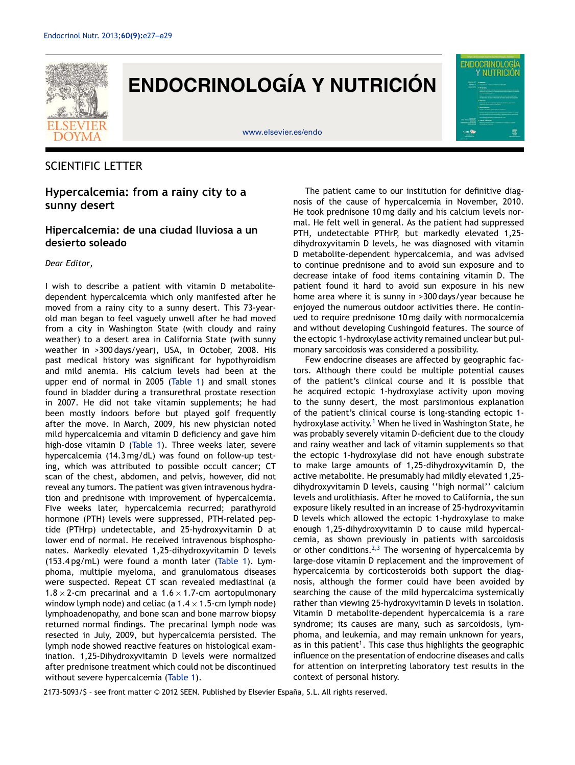

# **ENDOCRINOLOGÍA Y NUTRICIÓN**

www.elsevier.es/endo



# SCIENTIFIC LETTER

## **Hypercalcemia: from a rainy city to a sunny desert**

## **Hipercalcemia: de una ciudad lluviosa a un desierto soleado**

#### *Dear Editor,*

I wish to describe a patient with vitamin D metabolitedependent hypercalcemia which only manifested after he moved from a rainy city to a sunny desert. This 73-yearold man began to feel vaguely unwell after he had moved from a city in Washington State (with cloudy and rainy weather) to a desert area in California State (with sunny weather in >300 days/year), USA, in October, 2008. His past medical history was significant for hypothyroidism and mild anemia. His calcium levels had been at the upper end of normal in 2005 (Table 1) and small stones found in bladder during a transurethral prostate resection in 2007. He did not take vitamin supplements; he had been mostly indoors before but played golf frequently after the move. In March, 2009, his new physician noted mild hypercalcemia and vitamin D deficiency and gave him high-dose vitamin D (Table 1). Three weeks later, severe hypercalcemia (14.3 mg/dL) was found on follow-up testing, which was attributed to possible occult cancer; CT scan of the chest, abdomen, and pelvis, however, did not reveal any tumors. The patient was given intravenous hydration and prednisone with improvement of hypercalcemia. Five weeks later, hypercalcemia recurred; parathyroid hormone (PTH) levels were suppressed, PTH-related peptide (PTHrp) undetectable, and 25-hydroxyvitamin D at lower end of normal. He received intravenous bisphosphonates. Markedly elevated 1,25-dihydroxyvitamin D levels (153.4 pg/mL) were found a month later (Table 1). Lymphoma, multiple myeloma, and granulomatous diseases were suspected. Repeat CT scan revealed mediastinal (a 1.8  $\times$  2-cm precarinal and a 1.6  $\times$  1.7-cm aortopulmonary window lymph node) and celiac (a  $1.4 \times 1.5$ -cm lymph node) lymphoadenopathy, and bone scan and bone marrow biopsy returned normal findings. The precarinal lymph node was resected in July, 2009, but hypercalcemia persisted. The lymph node showed reactive features on histological examination. 1,25-Dihydroxyvitamin D levels were normalized after prednisone treatment which could not be discontinued without severe hypercalcemia (Table 1).

The patient came to our institution for definitive diagnosis of the cause of hypercalcemia in November, 2010. He took prednisone 10 mg daily and his calcium levels normal. He felt well in general. As the patient had suppressed PTH, undetectable PTHrP, but markedly elevated 1,25 dihydroxyvitamin D levels, he was diagnosed with vitamin D metabolite-dependent hypercalcemia, and was advised to continue prednisone and to avoid sun exposure and to decrease intake of food items containing vitamin D. The patient found it hard to avoid sun exposure in his new home area where it is sunny in >300 days/year because he enjoyed the numerous outdoor activities there. He continued to require prednisone 10 mg daily with normocalcemia and without developing Cushingoid features. The source of the ectopic 1-hydroxylase activity remained unclear but pulmonary sarcoidosis was considered a possibility.

Few endocrine diseases are affected by geographic factors. Although there could be multiple potential causes of the patient's clinical course and it is possible that he acquired ectopic 1-hydroxylase activity upon moving to the sunny desert, the most parsimonious explanation of the patient's clinical course is long-standing ectopic 1 hydroxylase activity.<sup>1</sup> When he lived in Washington State, he was probably severely vitamin D-deficient due to the cloudy and rainy weather and lack of vitamin supplements so that the ectopic 1-hydroxylase did not have enough substrate to make large amounts of 1,25-dihydroxyvitamin D, the active metabolite. He presumably had mildly elevated 1,25 dihydroxyvitamin D levels, causing ''high normal'' calcium levels and urolithiasis. After he moved to California, the sun exposure likely resulted in an increase of 25-hydroxyvitamin D levels which allowed the ectopic 1-hydroxylase to make enough 1,25-dihydroxyvitamin D to cause mild hypercalcemia, as shown previously in patients with sarcoidosis or other conditions.<sup>2,3</sup> The worsening of hypercalcemia by large-dose vitamin D replacement and the improvement of hypercalcemia by corticosteroids both support the diagnosis, although the former could have been avoided by searching the cause of the mild hypercalcima systemically rather than viewing 25-hydroxyvitamin D levels in isolation. Vitamin D metabolite-dependent hypercalcemia is a rare syndrome; its causes are many, such as sarcoidosis, lymphoma, and leukemia, and may remain unknown for years, as in this patient<sup>1</sup>. This case thus highlights the geographic influence on the presentation of endocrine diseases and calls for attention on interpreting laboratory test results in the context of personal history.

2173-5093/\$ – see front matter © 2012 SEEN. Published by Elsevier España, S.L. All rights reserved.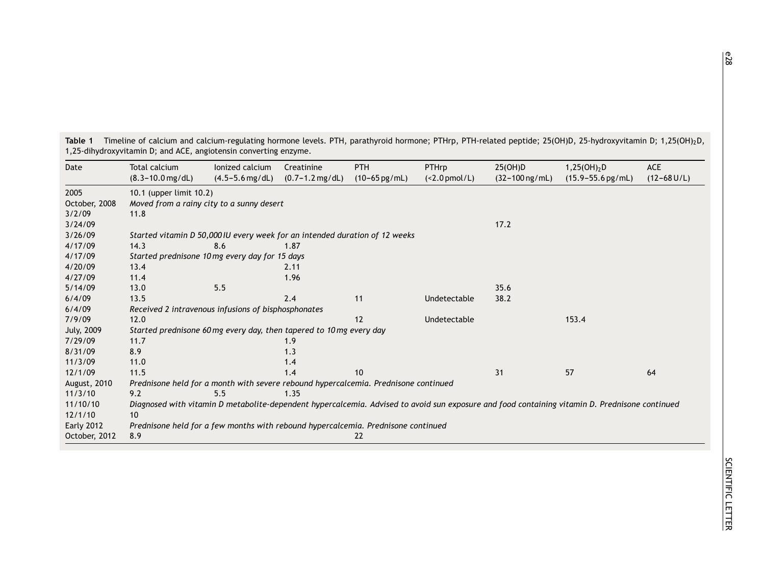| Date              | Total calcium                                                                                                                                  | lonized calcium     | Creatinine                  | <b>PTH</b>               | PTHrp           | 25(OH)D                    | $1,25(OH)_{2}D$                | ACE             |
|-------------------|------------------------------------------------------------------------------------------------------------------------------------------------|---------------------|-----------------------------|--------------------------|-----------------|----------------------------|--------------------------------|-----------------|
|                   | $(8.3 - 10.0$ mg/dL)                                                                                                                           | $(4.5 - 5.6$ mg/dL) | $(0.7 - 1.2 \text{ mg/dL})$ | $(10-65 \,\text{pg/mL})$ | $(<2.0$ pmol/L) | $(32 - 100 \text{ ng/mL})$ | $(15.9 - 55.6 \,\text{pg/mL})$ | $(12 - 68$ U/L) |
| 2005              | 10.1 (upper limit 10.2)                                                                                                                        |                     |                             |                          |                 |                            |                                |                 |
| October, 2008     | Moved from a rainy city to a sunny desert                                                                                                      |                     |                             |                          |                 |                            |                                |                 |
| 3/2/09            | 11.8                                                                                                                                           |                     |                             |                          |                 |                            |                                |                 |
| 3/24/09           |                                                                                                                                                |                     |                             |                          |                 | 17.2                       |                                |                 |
| 3/26/09           | Started vitamin D 50,000 IU every week for an intended duration of 12 weeks                                                                    |                     |                             |                          |                 |                            |                                |                 |
| 4/17/09           | 14.3                                                                                                                                           | 8.6                 | 1.87                        |                          |                 |                            |                                |                 |
| 4/17/09           | Started prednisone 10 mg every day for 15 days                                                                                                 |                     |                             |                          |                 |                            |                                |                 |
| 4/20/09           | 13.4                                                                                                                                           |                     | 2.11                        |                          |                 |                            |                                |                 |
| 4/27/09           | 11.4                                                                                                                                           |                     | 1.96                        |                          |                 |                            |                                |                 |
| 5/14/09           | 13.0                                                                                                                                           | 5.5                 |                             |                          |                 | 35.6                       |                                |                 |
| 6/4/09            | 13.5                                                                                                                                           |                     | 2.4                         | 11                       | Undetectable    | 38.2                       |                                |                 |
| 6/4/09            | Received 2 intravenous infusions of bisphosphonates                                                                                            |                     |                             |                          |                 |                            |                                |                 |
| 7/9/09            | 12.0                                                                                                                                           |                     |                             | 12                       | Undetectable    |                            | 153.4                          |                 |
| July, 2009        | Started prednisone 60 mg every day, then tapered to 10 mg every day                                                                            |                     |                             |                          |                 |                            |                                |                 |
| 7/29/09           | 11.7                                                                                                                                           |                     | 1.9                         |                          |                 |                            |                                |                 |
| 8/31/09           | 8.9                                                                                                                                            |                     | 1.3                         |                          |                 |                            |                                |                 |
| 11/3/09           | 11.0                                                                                                                                           |                     | 1.4                         |                          |                 |                            |                                |                 |
| 12/1/09           | 11.5                                                                                                                                           |                     | 1.4                         | 10                       |                 | 31                         | 57                             | 64              |
| August, 2010      | Prednisone held for a month with severe rebound hypercalcemia. Prednisone continued                                                            |                     |                             |                          |                 |                            |                                |                 |
| 11/3/10           | 9.2                                                                                                                                            | 5.5                 | 1.35                        |                          |                 |                            |                                |                 |
| 11/10/10          | Diagnosed with vitamin D metabolite-dependent hypercalcemia. Advised to avoid sun exposure and food containing vitamin D. Prednisone continued |                     |                             |                          |                 |                            |                                |                 |
| 12/1/10           | 10                                                                                                                                             |                     |                             |                          |                 |                            |                                |                 |
| <b>Early 2012</b> | Prednisone held for a few months with rebound hypercalcemia. Prednisone continued                                                              |                     |                             |                          |                 |                            |                                |                 |
| October, 2012     | 8.9                                                                                                                                            |                     |                             | 22                       |                 |                            |                                |                 |

**Table 1** Timeline of calcium and calcium-regulating hormone levels. PTH, parathyroid hormone; PTHrp, PTH-related peptide; 25(OH)D, 25-hydroxyvitamin D; 1,25(OH)2D, 1,25-dihydroxyvitamin D; and ACE, angiotensin converting enzyme.